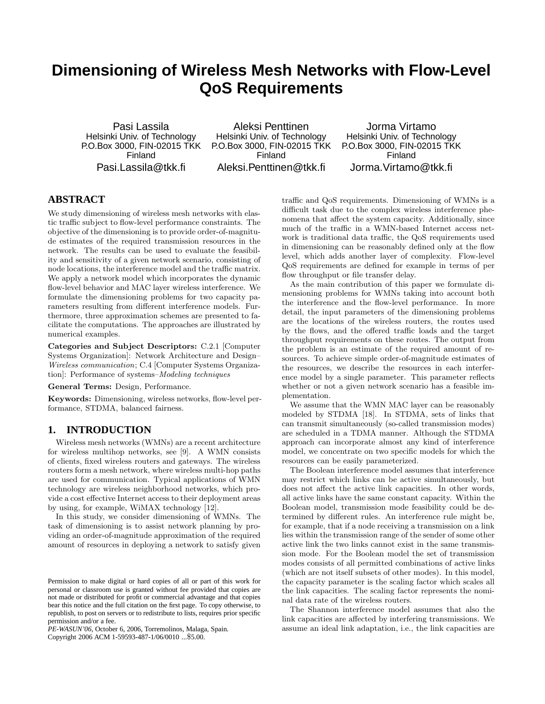# **Dimensioning of Wireless Mesh Networks with Flow-Level QoS Requirements**

Pasi Lassila Helsinki Univ. of Technology P.O.Box 3000, FIN-02015 TKK Finland Pasi.Lassila@tkk.fi

Aleksi Penttinen Helsinki Univ. of Technology P.O.Box 3000, FIN-02015 TKK Finland Aleksi.Penttinen@tkk.fi

Jorma Virtamo Helsinki Univ. of Technology P.O.Box 3000, FIN-02015 TKK Finland Jorma.Virtamo@tkk.fi

# **ABSTRACT**

We study dimensioning of wireless mesh networks with elastic traffic subject to flow-level performance constraints. The objective of the dimensioning is to provide order-of-magnitude estimates of the required transmission resources in the network. The results can be used to evaluate the feasibility and sensitivity of a given network scenario, consisting of node locations, the interference model and the traffic matrix. We apply a network model which incorporates the dynamic flow-level behavior and MAC layer wireless interference. We formulate the dimensioning problems for two capacity parameters resulting from different interference models. Furthermore, three approximation schemes are presented to facilitate the computations. The approaches are illustrated by numerical examples.

**Categories and Subject Descriptors:** C.2.1 [Computer Systems Organization]: Network Architecture and Design– Wireless communication; C.4 [Computer Systems Organization]: Performance of systems–Modeling techniques

**General Terms:** Design, Performance.

**Keywords:** Dimensioning, wireless networks, flow-level performance, STDMA, balanced fairness.

# **1. INTRODUCTION**

Wireless mesh networks (WMNs) are a recent architecture for wireless multihop networks, see [9]. A WMN consists of clients, fixed wireless routers and gateways. The wireless routers form a mesh network, where wireless multi-hop paths are used for communication. Typical applications of WMN technology are wireless neighborhood networks, which provide a cost effective Internet access to their deployment areas by using, for example, WiMAX technology [12].

In this study, we consider dimensioning of WMNs. The task of dimensioning is to assist network planning by providing an order-of-magnitude approximation of the required amount of resources in deploying a network to satisfy given

*PE-WASUN'06,* October 6, 2006, Torremolinos, Malaga, Spain.

Copyright 2006 ACM 1-59593-487-1/06/0010 ...\$5.00.

traffic and QoS requirements. Dimensioning of WMNs is a difficult task due to the complex wireless interference phenomena that affect the system capacity. Additionally, since much of the traffic in a WMN-based Internet access network is traditional data traffic, the QoS requirements used in dimensioning can be reasonably defined only at the flow level, which adds another layer of complexity. Flow-level QoS requirements are defined for example in terms of per flow throughput or file transfer delay.

As the main contribution of this paper we formulate dimensioning problems for WMNs taking into account both the interference and the flow-level performance. In more detail, the input parameters of the dimensioning problems are the locations of the wireless routers, the routes used by the flows, and the offered traffic loads and the target throughput requirements on these routes. The output from the problem is an estimate of the required amount of resources. To achieve simple order-of-magnitude estimates of the resources, we describe the resources in each interference model by a single parameter. This parameter reflects whether or not a given network scenario has a feasible implementation.

We assume that the WMN MAC layer can be reasonably modeled by STDMA [18]. In STDMA, sets of links that can transmit simultaneously (so-called transmission modes) are scheduled in a TDMA manner. Although the STDMA approach can incorporate almost any kind of interference model, we concentrate on two specific models for which the resources can be easily parameterized.

The Boolean interference model assumes that interference may restrict which links can be active simultaneously, but does not affect the active link capacities. In other words, all active links have the same constant capacity. Within the Boolean model, transmission mode feasibility could be determined by different rules. An interference rule might be, for example, that if a node receiving a transmission on a link lies within the transmission range of the sender of some other active link the two links cannot exist in the same transmission mode. For the Boolean model the set of transmission modes consists of all permitted combinations of active links (which are not itself subsets of other modes). In this model, the capacity parameter is the scaling factor which scales all the link capacities. The scaling factor represents the nominal data rate of the wireless routers.

The Shannon interference model assumes that also the link capacities are affected by interfering transmissions. We assume an ideal link adaptation, i.e., the link capacities are

Permission to make digital or hard copies of all or part of this work for personal or classroom use is granted without fee provided that copies are not made or distributed for profit or commercial advantage and that copies bear this notice and the full citation on the first page. To copy otherwise, to republish, to post on servers or to redistribute to lists, requires prior specific permission and/or a fee.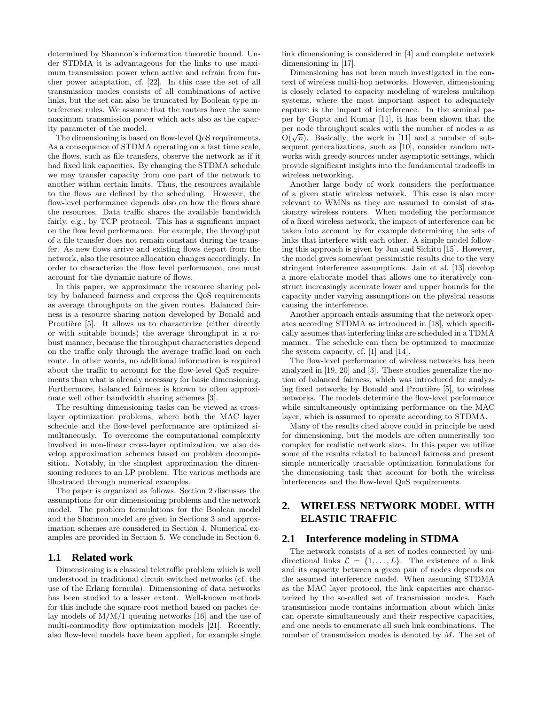determined by Shannon's information theoretic bound. Under STDMA it is advantageous for the links to use maximum transmission power when active and refrain from further power adaptation, cf. [22]. In this case the set of all transmission modes consists of all combinations of active links, but the set can also be truncated by Boolean type interference rules. We assume that the routers have the same maximum transmission power which acts also as the capacity parameter of the model.

The dimensioning is based on flow-level QoS requirements. As a consequence of STDMA operating on a fast time scale, the flows, such as file transfers, observe the network as if it had fixed link capacities. By changing the STDMA schedule we may transfer capacity from one part of the network to another within certain limits. Thus, the resources available to the flows are defined by the scheduling. However, the flow-level performance depends also on how the flows share the resources. Data traffic shares the available bandwidth fairly, e.g., by TCP protocol. This has a significant impact on the flow level performance. For example, the throughput of a file transfer does not remain constant during the transfer. As new flows arrive and existing flows depart from the network, also the resource allocation changes accordingly. In order to characterize the flow level performance, one must account for the dynamic nature of flows.

In this paper, we approximate the resource sharing policy by balanced fairness and express the QoS requirements as average throughputs on the given routes. Balanced fairness is a resource sharing notion developed by Bonald and Proutière [5]. It allows us to characterize (either directly or with suitable bounds) the average throughput in a robust manner, because the throughput characteristics depend on the traffic only through the average traffic load on each route. In other words, no additional information is required about the traffic to account for the flow-level QoS requirements than what is already necessary for basic dimensioning. Furthermore, balanced fairness is known to often approximate well other bandwidth sharing schemes [3].

The resulting dimensioning tasks can be viewed as crosslayer optimization problems, where both the MAC layer schedule and the flow-level performance are optimized simultaneously. To overcome the computational complexity involved in non-linear cross-layer optimization, we also develop approximation schemes based on problem decomposition. Notably, in the simplest approximation the dimensioning reduces to an LP problem. The various methods are illustrated through numerical examples.

The paper is organized as follows. Section 2 discusses the assumptions for our dimensioning problems and the network model. The problem formulations for the Boolean model and the Shannon model are given in Sections 3 and approximation schemes are considered in Section 4. Numerical examples are provided in Section 5. We conclude in Section 6.

# **1.1 Related work**

Dimensioning is a classical teletraffic problem which is well understood in traditional circuit switched networks (cf. the use of the Erlang formula). Dimensioning of data networks has been studied to a lesser extent. Well-known methods for this include the square-root method based on packet delay models of M/M/1 queuing networks [16] and the use of multi-commodity flow optimization models [21]. Recently, also flow-level models have been applied, for example single

link dimensioning is considered in [4] and complete network dimensioning in [17].

Dimensioning has not been much investigated in the context of wireless multi-hop networks. However, dimensioning is closely related to capacity modeling of wireless multihop systems, where the most important aspect to adequately capture is the impact of interference. In the seminal paper by Gupta and Kumar [11], it has been shown that the per node throughput scales with the number of nodes  $n$  as  $O(\sqrt{n})$ . Basically, the work in [11] and a number of subsequent generalizations, such as [10], consider random networks with greedy sources under asymptotic settings, which provide significant insights into the fundamental tradeoffs in wireless networking.

Another large body of work considers the performance of a given static wireless network. This case is also more relevant to WMNs as they are assumed to consist of stationary wireless routers. When modeling the performance of a fixed wireless network, the impact of interference can be taken into account by for example determining the sets of links that interfere with each other. A simple model following this approach is given by Jun and Sichitu [15]. However, the model gives somewhat pessimistic results due to the very stringent interference assumptions. Jain et al. [13] develop a more elaborate model that allows one to iteratively construct increasingly accurate lower and upper bounds for the capacity under varying assumptions on the physical reasons causing the interference.

Another approach entails assuming that the network operates according STDMA as introduced in [18], which specifically assumes that interfering links are scheduled in a TDMA manner. The schedule can then be optimized to maximize the system capacity, cf. [1] and [14].

The flow-level performance of wireless networks has been analyzed in [19, 20] and [3]. These studies generalize the notion of balanced fairness, which was introduced for analyzing fixed networks by Bonald and Proutière [5], to wireless networks. The models determine the flow-level performance while simultaneously optimizing performance on the MAC layer, which is assumed to operate according to STDMA.

Many of the results cited above could in principle be used for dimensioning, but the models are often numerically too complex for realistic network sizes. In this paper we utilize some of the results related to balanced fairness and present simple numerically tractable optimization formulations for the dimensioning task that account for both the wireless interferences and the flow-level QoS requirements.

# **2. WIRELESS NETWORK MODEL WITH ELASTIC TRAFFIC**

# **2.1 Interference modeling in STDMA**

The network consists of a set of nodes connected by unidirectional links  $\mathcal{L} = \{1, \ldots, L\}$ . The existence of a link and its capacity between a given pair of nodes depends on the assumed interference model. When assuming STDMA as the MAC layer protocol, the link capacities are characterized by the so-called set of transmission modes. Each transmission mode contains information about which links can operate simultaneously and their respective capacities, and one needs to enumerate all such link combinations. The number of transmission modes is denoted by  $M$ . The set of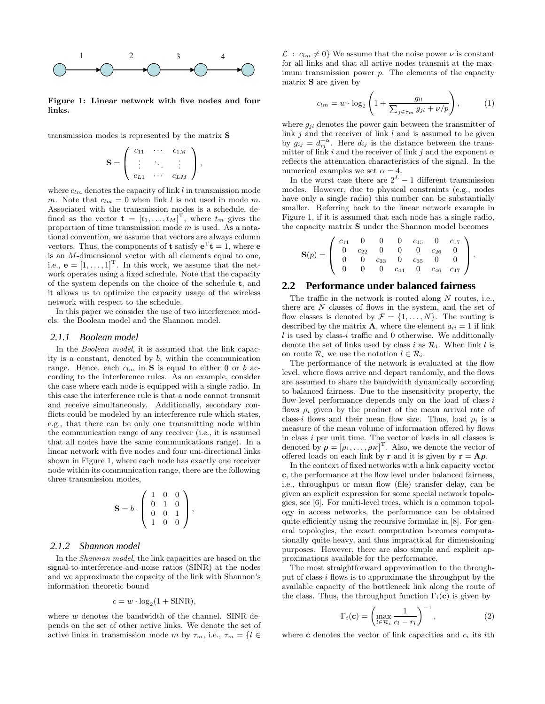

**Figure 1: Linear network with five nodes and four links.**

transmission modes is represented by the matrix **S**

$$
\mathbf{S} = \left( \begin{array}{ccc} c_{11} & \cdots & c_{1M} \\ \vdots & \ddots & \vdots \\ c_{L1} & \cdots & c_{LM} \end{array} \right),
$$

where  $c_{lm}$  denotes the capacity of link l in transmission mode m. Note that  $c_{lm} = 0$  when link l is not used in mode m. Associated with the transmission modes is a schedule, defined as the vector  $\mathbf{t} = [t_1, \ldots, t_M]^T$ , where  $t_m$  gives the proportion of time transmission mode m is used. As a notational convention, we assume that vectors are always column vectors. Thus, the components of **t** satisfy  $e^{T}t = 1$ , where **e** is an M-dimensional vector with all elements equal to one, i.e.,  $\mathbf{e} = \begin{bmatrix} 1, \ldots, 1 \end{bmatrix}^T$ . In this work, we assume that the network operates using a fixed schedule. Note that the capacity of the system depends on the choice of the schedule **t**, and it allows us to optimize the capacity usage of the wireless network with respect to the schedule.

In this paper we consider the use of two interference models: the Boolean model and the Shannon model.

#### *2.1.1 Boolean model*

In the *Boolean model*, it is assumed that the link capacity is a constant, denoted by b, within the communication range. Hence, each  $c_{lm}$  in **S** is equal to either 0 or b according to the interference rules. As an example, consider the case where each node is equipped with a single radio. In this case the interference rule is that a node cannot transmit and receive simultaneously. Additionally, secondary conflicts could be modeled by an interference rule which states, e.g., that there can be only one transmitting node within the communication range of any receiver (i.e., it is assumed that all nodes have the same communications range). In a linear network with five nodes and four uni-directional links shown in Figure 1, where each node has exactly one receiver node within its communication range, there are the following three transmission modes,

$$
\mathbf{S} = b \cdot \left( \begin{array}{ccc} 1 & 0 & 0 \\ 0 & 1 & 0 \\ 0 & 0 & 1 \\ 1 & 0 & 0 \end{array} \right),
$$

#### *2.1.2 Shannon model*

In the Shannon model, the link capacities are based on the signal-to-interference-and-noise ratios (SINR) at the nodes and we approximate the capacity of the link with Shannon's information theoretic bound

$$
c = w \cdot \log_2(1 + \text{SINR}),
$$

where  $w$  denotes the bandwidth of the channel. SINR depends on the set of other active links. We denote the set of active links in transmission mode m by  $\tau_m$ , i.e.,  $\tau_m = \{l \in$ 

 $\mathcal{L}: c_{lm} \neq 0$  We assume that the noise power  $\nu$  is constant for all links and that all active nodes transmit at the maximum transmission power  $p$ . The elements of the capacity matrix **S** are given by

$$
c_{lm} = w \cdot \log_2 \left( 1 + \frac{g_{ll}}{\sum_{j \in \tau_m} g_{jl} + \nu/p} \right), \tag{1}
$$

where  $q_{il}$  denotes the power gain between the transmitter of link  $i$  and the receiver of link l and is assumed to be given by  $g_{ij} = d_{ij}^{-\alpha}$ . Here  $d_{ij}$  is the distance between the transmitter of link i and the receiver of link j and the exponent  $\alpha$ reflects the attenuation characteristics of the signal. In the numerical examples we set  $\alpha = 4$ .

In the worst case there are  $2^L - 1$  different transmission modes. However, due to physical constraints (e.g., nodes have only a single radio) this number can be substantially smaller. Referring back to the linear network example in Figure 1, if it is assumed that each node has a single radio, the capacity matrix **S** under the Shannon model becomes

$$
\mathbf{S}(p) = \left( \begin{array}{cccccc} c_{11} & 0 & 0 & 0 & c_{15} & 0 & c_{17} \\ 0 & c_{22} & 0 & 0 & 0 & c_{26} & 0 \\ 0 & 0 & c_{33} & 0 & c_{35} & 0 & 0 \\ 0 & 0 & 0 & c_{44} & 0 & c_{46} & c_{47} \end{array} \right).
$$

#### **2.2 Performance under balanced fairness**

The traffic in the network is routed along  $N$  routes, i.e., there are N classes of flows in the system, and the set of flow classes is denoted by  $\mathcal{F} = \{1, \ldots, N\}$ . The routing is described by the matrix **A**, where the element  $a_{li} = 1$  if link  $l$  is used by class-i traffic and 0 otherwise. We additionally denote the set of links used by class i as  $\mathcal{R}_i$ . When link l is on route  $\mathcal{R}_i$  we use the notation  $l \in \mathcal{R}_i$ .

The performance of the network is evaluated at the flow level, where flows arrive and depart randomly, and the flows are assumed to share the bandwidth dynamically according to balanced fairness. Due to the insensitivity property, the flow-level performance depends only on the load of class- $i$ flows  $\rho_i$  given by the product of the mean arrival rate of class-i flows and their mean flow size. Thus, load  $\rho_i$  is a measure of the mean volume of information offered by flows in class i per unit time. The vector of loads in all classes is denoted by  $\boldsymbol{\rho} = [\rho_1, \dots, \rho_K]^{\mathrm{T}}$ . Also, we denote the vector of offered loads on each link by **r** and it is given by  $\mathbf{r} = \mathbf{A}\rho$ .

In the context of fixed networks with a link capacity vector **c**, the performance at the flow level under balanced fairness, i.e., throughput or mean flow (file) transfer delay, can be given an explicit expression for some special network topologies, see [6]. For multi-level trees, which is a common topology in access networks, the performance can be obtained quite efficiently using the recursive formulae in [8]. For general topologies, the exact computation becomes computationally quite heavy, and thus impractical for dimensioning purposes. However, there are also simple and explicit approximations available for the performance.

The most straightforward approximation to the throughput of class-i flows is to approximate the throughput by the available capacity of the bottleneck link along the route of the class. Thus, the throughput function  $\Gamma_i(\mathbf{c})$  is given by

$$
\Gamma_i(\mathbf{c}) = \left(\max_{l \in \mathcal{R}_i} \frac{1}{c_l - r_l}\right)^{-1},\tag{2}
$$

where **c** denotes the vector of link capacities and  $c_i$  its *i*th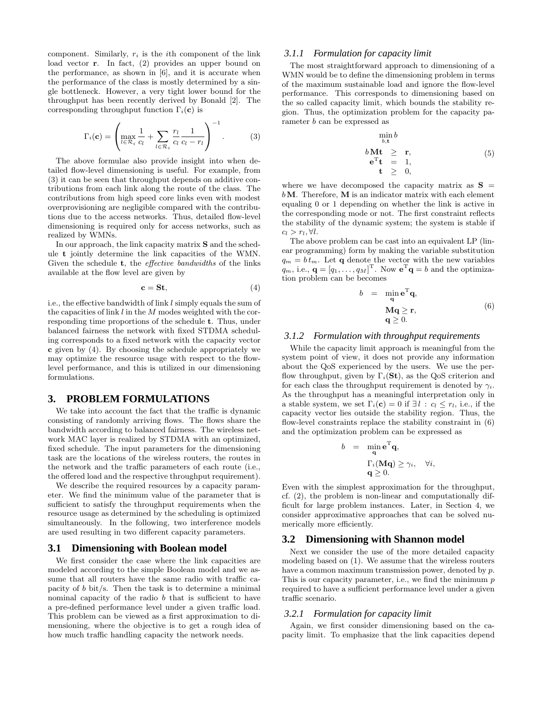component. Similarly,  $r_i$  is the *i*th component of the link load vector **r**. In fact, (2) provides an upper bound on the performance, as shown in [6], and it is accurate when the performance of the class is mostly determined by a single bottleneck. However, a very tight lower bound for the throughput has been recently derived by Bonald [2]. The corresponding throughput function  $\Gamma_i(\mathbf{c})$  is

$$
\Gamma_i(\mathbf{c}) = \left(\max_{l \in \mathcal{R}_i} \frac{1}{c_l} + \sum_{l \in \mathcal{R}_i} \frac{r_l}{c_l} \frac{1}{c_l - r_l}\right)^{-1}.
$$
 (3)

The above formulae also provide insight into when detailed flow-level dimensioning is useful. For example, from (3) it can be seen that throughput depends on additive contributions from each link along the route of the class. The contributions from high speed core links even with modest overprovisioning are negligible compared with the contributions due to the access networks. Thus, detailed flow-level dimensioning is required only for access networks, such as realized by WMNs.

In our approach, the link capacity matrix **S** and the schedule **t** jointly determine the link capacities of the WMN. Given the schedule **t**, the effective bandwidths of the links available at the flow level are given by

$$
\mathbf{c} = \mathbf{St},\tag{4}
$$

i.e., the effective bandwidth of link  $l$  simply equals the sum of the capacities of link  $l$  in the  $M$  modes weighted with the corresponding time proportions of the schedule **t**. Thus, under balanced fairness the network with fixed STDMA scheduling corresponds to a fixed network with the capacity vector **c** given by (4). By choosing the schedule appropriately we may optimize the resource usage with respect to the flowlevel performance, and this is utilized in our dimensioning formulations.

### **3. PROBLEM FORMULATIONS**

We take into account the fact that the traffic is dynamic consisting of randomly arriving flows. The flows share the bandwidth according to balanced fairness. The wireless network MAC layer is realized by STDMA with an optimized, fixed schedule. The input parameters for the dimensioning task are the locations of the wireless routers, the routes in the network and the traffic parameters of each route (i.e., the offered load and the respective throughput requirement).

We describe the required resources by a capacity parameter. We find the minimum value of the parameter that is sufficient to satisfy the throughput requirements when the resource usage as determined by the scheduling is optimized simultaneously. In the following, two interference models are used resulting in two different capacity parameters.

### **3.1 Dimensioning with Boolean model**

We first consider the case where the link capacities are modeled according to the simple Boolean model and we assume that all routers have the same radio with traffic capacity of b bit/s. Then the task is to determine a minimal nominal capacity of the radio b that is sufficient to have a pre-defined performance level under a given traffic load. This problem can be viewed as a first approximation to dimensioning, where the objective is to get a rough idea of how much traffic handling capacity the network needs.

## *3.1.1 Formulation for capacity limit*

The most straightforward approach to dimensioning of a WMN would be to define the dimensioning problem in terms of the maximum sustainable load and ignore the flow-level performance. This corresponds to dimensioning based on the so called capacity limit, which bounds the stability region. Thus, the optimization problem for the capacity parameter b can be expressed as

$$
\min_{b,\mathbf{t}} b
$$
\n
$$
b \mathbf{M} \mathbf{t} \geq \mathbf{r},
$$
\n
$$
\mathbf{e}^{\mathrm{T}} \mathbf{t} = 1,
$$
\n
$$
\mathbf{t} \geq 0,
$$
\n(5)

where we have decomposed the capacity matrix as  $S =$ b**M**. Therefore, **M** is an indicator matrix with each element equaling 0 or 1 depending on whether the link is active in the corresponding mode or not. The first constraint reflects the stability of the dynamic system; the system is stable if  $c_l > r_l$ , ∀*l*.

The above problem can be cast into an equivalent LP (linear programming) form by making the variable substitution  $q_m = bt_m$ . Let **q** denote the vector with the new variables  $q_m$ , i.e.,  $\mathbf{q} = [q_1, \dots, q_M]^{\mathrm{T}}$ . Now  $\mathbf{e}^{\mathrm{T}} \mathbf{q} = b$  and the optimization problem can be becomes

$$
b = \min_{\mathbf{q}} \mathbf{e}^{\mathrm{T}} \mathbf{q},
$$
  
\n
$$
\mathbf{M}\mathbf{q} \ge \mathbf{r},
$$
  
\n
$$
\mathbf{q} \ge 0.
$$
\n(6)

# *3.1.2 Formulation with throughput requirements*

While the capacity limit approach is meaningful from the system point of view, it does not provide any information about the QoS experienced by the users. We use the perflow throughput, given by  $\Gamma_i(\mathbf{St})$ , as the QoS criterion and for each class the throughput requirement is denoted by  $\gamma_i$ . As the throughput has a meaningful interpretation only in a stable system, we set  $\Gamma_i(\mathbf{c}) = 0$  if  $\exists l : c_l \leq r_l$ , i.e., if the capacity vector lies outside the stability region. Thus, the flow-level constraints replace the stability constraint in (6) and the optimization problem can be expressed as

$$
b = \min_{\mathbf{q}} \mathbf{e}^{\mathrm{T}} \mathbf{q},
$$

$$
\Gamma_i(\mathbf{M}\mathbf{q}) \ge \gamma_i, \quad \forall i,
$$

$$
\mathbf{q} \ge 0.
$$

Even with the simplest approximation for the throughput, cf. (2), the problem is non-linear and computationally difficult for large problem instances. Later, in Section 4, we consider approximative approaches that can be solved numerically more efficiently.

#### **3.2 Dimensioning with Shannon model**

Next we consider the use of the more detailed capacity modeling based on (1). We assume that the wireless routers have a common maximum transmission power, denoted by p. This is our capacity parameter, i.e., we find the minimum  $p$ required to have a sufficient performance level under a given traffic scenario.

#### *3.2.1 Formulation for capacity limit*

Again, we first consider dimensioning based on the capacity limit. To emphasize that the link capacities depend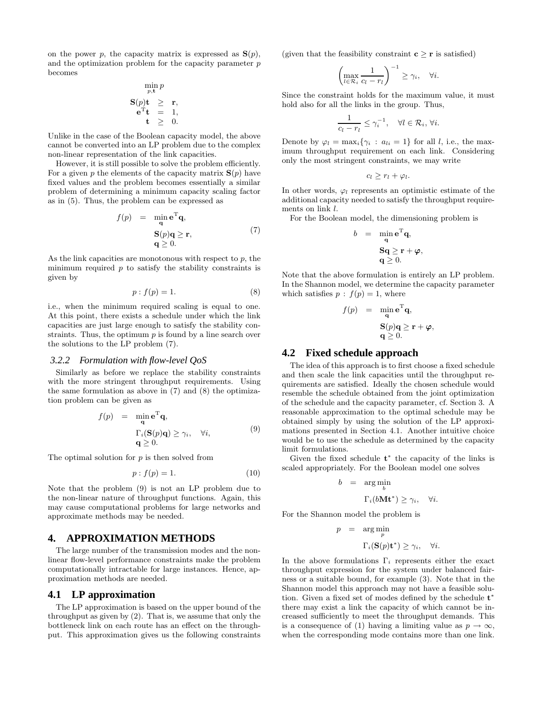on the power p, the capacity matrix is expressed as  $S(p)$ , and the optimization problem for the capacity parameter p becomes

$$
\begin{array}{rcl} & \displaystyle\min_{p,\mathbf{t}}p\\ \mathbf{S}(p)\mathbf{t} & \geq & \mathbf{r},\\ &\mathbf{e}^{\mathrm{T}}\mathbf{t} & = & 1,\\ & \mathbf{t} & \geq & 0. \end{array}
$$

Unlike in the case of the Boolean capacity model, the above cannot be converted into an LP problem due to the complex non-linear representation of the link capacities.

However, it is still possible to solve the problem efficiently. For a given p the elements of the capacity matrix  $\mathbf{S}(p)$  have fixed values and the problem becomes essentially a similar problem of determining a minimum capacity scaling factor as in (5). Thus, the problem can be expressed as

$$
f(p) = \min_{\mathbf{q}} \mathbf{e}^{\mathrm{T}} \mathbf{q},
$$
  
\n
$$
\mathbf{S}(p)\mathbf{q} \ge \mathbf{r},
$$
  
\n
$$
\mathbf{q} \ge 0.
$$
\n(7)

As the link capacities are monotonous with respect to  $p$ , the minimum required  $p$  to satisfy the stability constraints is given by

$$
p: f(p) = 1.
$$
\n<sup>(8)</sup>

i.e., when the minimum required scaling is equal to one. At this point, there exists a schedule under which the link capacities are just large enough to satisfy the stability constraints. Thus, the optimum  $p$  is found by a line search over the solutions to the LP problem (7).

# *3.2.2 Formulation with flow-level QoS*

Similarly as before we replace the stability constraints with the more stringent throughput requirements. Using the same formulation as above in (7) and (8) the optimization problem can be given as

$$
f(p) = \min_{\mathbf{q}} \mathbf{e}^{\mathrm{T}} \mathbf{q},
$$
  

$$
\Gamma_i(\mathbf{S}(p)\mathbf{q}) \geq \gamma_i, \quad \forall i,
$$
  

$$
\mathbf{q} \geq 0.
$$
 (9)

The optimal solution for  $p$  is then solved from

$$
p: f(p) = 1.
$$
\n<sup>(10)</sup>

Note that the problem (9) is not an LP problem due to the non-linear nature of throughput functions. Again, this may cause computational problems for large networks and approximate methods may be needed.

# **4. APPROXIMATION METHODS**

The large number of the transmission modes and the nonlinear flow-level performance constraints make the problem computationally intractable for large instances. Hence, approximation methods are needed.

### **4.1 LP approximation**

The LP approximation is based on the upper bound of the throughput as given by (2). That is, we assume that only the bottleneck link on each route has an effect on the throughput. This approximation gives us the following constraints (given that the feasibility constraint  $c \ge r$  is satisfied)

$$
\left(\max_{l\in\mathcal{R}_i}\frac{1}{c_l-r_l}\right)^{-1}\geq\gamma_i,\quad\forall i.
$$

Since the constraint holds for the maximum value, it must hold also for all the links in the group. Thus,

$$
\frac{1}{c_l - r_l} \leq \gamma_i^{-1}, \quad \forall l \in \mathcal{R}_i, \forall i.
$$

Denote by  $\varphi_l = \max_i {\gamma_i : a_{li} = 1}$  for all *l*, i.e., the maximum throughput requirement on each link. Considering only the most stringent constraints, we may write

$$
c_l \geq r_l + \varphi_l.
$$

In other words,  $\varphi_l$  represents an optimistic estimate of the additional capacity needed to satisfy the throughput requirements on link l.

For the Boolean model, the dimensioning problem is

$$
b = \min_{\mathbf{q}} \mathbf{e}^{\mathrm{T}} \mathbf{q},
$$

$$
\mathbf{S}\mathbf{q} \ge \mathbf{r} + \boldsymbol{\varphi},
$$

$$
\mathbf{q} \ge 0.
$$

Note that the above formulation is entirely an LP problem. In the Shannon model, we determine the capacity parameter which satisfies  $p : f(p) = 1$ , where

$$
f(p) = \min_{\mathbf{q}} \mathbf{e}^{\mathrm{T}} \mathbf{q},
$$

$$
\mathbf{S}(p)\mathbf{q} \ge \mathbf{r} + \boldsymbol{\varphi},
$$

$$
\mathbf{q} \ge 0.
$$

#### **4.2 Fixed schedule approach**

The idea of this approach is to first choose a fixed schedule and then scale the link capacities until the throughput requirements are satisfied. Ideally the chosen schedule would resemble the schedule obtained from the joint optimization of the schedule and the capacity parameter, cf. Section 3. A reasonable approximation to the optimal schedule may be obtained simply by using the solution of the LP approximations presented in Section 4.1. Another intuitive choice would be to use the schedule as determined by the capacity limit formulations.

Given the fixed schedule **t**<sup>∗</sup> the capacity of the links is scaled appropriately. For the Boolean model one solves

$$
b = \arg\min_{b} \n\Gamma_i(b\mathbf{Mt}^*) \ge \gamma_i, \quad \forall i.
$$

For the Shannon model the problem is

$$
p = \underset{p}{\arg\min} \sum_{p}
$$

$$
\Gamma_i(\mathbf{S}(p)\mathbf{t}^*) \ge \gamma_i, \quad \forall i.
$$

In the above formulations  $\Gamma_i$  represents either the exact throughput expression for the system under balanced fairness or a suitable bound, for example (3). Note that in the Shannon model this approach may not have a feasible solution. Given a fixed set of modes defined by the schedule **t**<sup>∗</sup> there may exist a link the capacity of which cannot be increased sufficiently to meet the throughput demands. This is a consequence of (1) having a limiting value as  $p \to \infty$ , when the corresponding mode contains more than one link.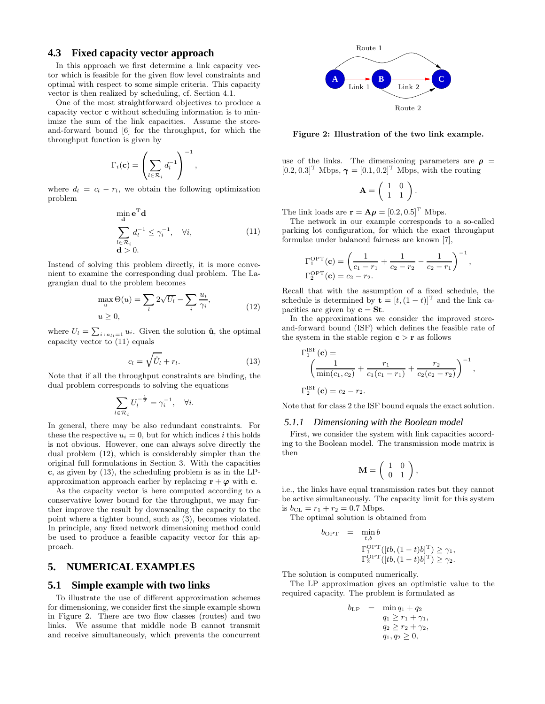# **4.3 Fixed capacity vector approach**

In this approach we first determine a link capacity vector which is feasible for the given flow level constraints and optimal with respect to some simple criteria. This capacity vector is then realized by scheduling, cf. Section 4.1.

One of the most straightforward objectives to produce a capacity vector **c** without scheduling information is to minimize the sum of the link capacities. Assume the storeand-forward bound [6] for the throughput, for which the throughput function is given by

$$
\Gamma_i(\mathbf{c}) = \left(\sum_{l \in \mathcal{R}_i} d_l^{-1}\right)^{-1},
$$

where  $d_l = c_l - r_l$ , we obtain the following optimization problem

$$
\min_{\mathbf{d}} \mathbf{e}^{\mathbf{T}} \mathbf{d}
$$
\n
$$
\sum_{l \in \mathcal{R}_i} d_l^{-1} \leq \gamma_i^{-1}, \quad \forall i,
$$
\n
$$
\mathbf{d} > 0.
$$
\n(11)

Instead of solving this problem directly, it is more convenient to examine the corresponding dual problem. The Lagrangian dual to the problem becomes

$$
\max_{u} \Theta(u) = \sum_{l} 2\sqrt{U_l} - \sum_{i} \frac{u_i}{\gamma_i},
$$
\n
$$
u \ge 0,
$$
\n(12)

where  $U_l = \sum_{i : a_{li}=1} u_i$ . Given the solution  $\hat{\mathbf{u}}$ , the optimal capacity vector to  $(11)$  equals

$$
c_l = \sqrt{\hat{U}_l + r_l}.\tag{13}
$$

Note that if all the throughput constraints are binding, the dual problem corresponds to solving the equations

$$
\sum_{l \in \mathcal{R}_i} U_l^{-\frac{1}{2}} = \gamma_i^{-1}, \quad \forall i.
$$

In general, there may be also redundant constraints. For these the respective  $u_i = 0$ , but for which indices i this holds is not obvious. However, one can always solve directly the dual problem (12), which is considerably simpler than the original full formulations in Section 3. With the capacities **c**, as given by (13), the scheduling problem is as in the LPapproximation approach earlier by replacing  $\mathbf{r} + \varphi$  with **c**.

As the capacity vector is here computed according to a conservative lower bound for the throughput, we may further improve the result by downscaling the capacity to the point where a tighter bound, such as (3), becomes violated. In principle, any fixed network dimensioning method could be used to produce a feasible capacity vector for this approach.

# **5. NUMERICAL EXAMPLES**

### **5.1 Simple example with two links**

To illustrate the use of different approximation schemes for dimensioning, we consider first the simple example shown in Figure 2. There are two flow classes (routes) and two links. We assume that middle node B cannot transmit and receive simultaneously, which prevents the concurrent



**Figure 2: Illustration of the two link example.**

use of the links. The dimensioning parameters are  $\rho =$  $[0.2, 0.3]^T$  Mbps,  $\gamma = [0.1, 0.2]^T$  Mbps, with the routing

$$
\mathbf{A} = \left( \begin{array}{cc} 1 & 0 \\ 1 & 1 \end{array} \right).
$$

The link loads are  $\mathbf{r} = \mathbf{A}\boldsymbol{\rho} = [0.2, 0.5]^{\text{T}}$  Mbps.

The network in our example corresponds to a so-called parking lot configuration, for which the exact throughput formulae under balanced fairness are known [7],

$$
\Gamma_1^{\text{OPT}}(\mathbf{c}) = \left(\frac{1}{c_1 - r_1} + \frac{1}{c_2 - r_2} - \frac{1}{c_2 - r_1}\right)^{-1},
$$
  
\n
$$
\Gamma_2^{\text{OPT}}(\mathbf{c}) = c_2 - r_2.
$$

Recall that with the assumption of a fixed schedule, the schedule is determined by  $\mathbf{t} = [t, (1-t)]^T$  and the link capacities are given by  $c = St$ .

In the approximations we consider the improved storeand-forward bound (ISF) which defines the feasible rate of the system in the stable region  $c > r$  as follows

$$
\Gamma_1^{\text{ISF}}(\mathbf{c}) = \left(\frac{1}{\min(c_1, c_2)} + \frac{r_1}{c_1(c_1 - r_1)} + \frac{r_2}{c_2(c_2 - r_2)}\right)^{-1},
$$
  

$$
\Gamma_2^{\text{ISF}}(\mathbf{c}) = c_2 - r_2.
$$

Note that for class 2 the ISF bound equals the exact solution.

### *5.1.1 Dimensioning with the Boolean model*

First, we consider the system with link capacities according to the Boolean model. The transmission mode matrix is then

$$
\mathbf{M} = \left( \begin{array}{cc} 1 & 0 \\ 0 & 1 \end{array} \right),
$$

i.e., the links have equal transmission rates but they cannot be active simultaneously. The capacity limit for this system is  $b_{CL} = r_1 + r_2 = 0.7$  Mbps.

The optimal solution is obtained from

$$
b_{\text{OPT}} = \min_{t,b} b
$$
  

$$
\Gamma_1^{\text{OPT}}([tb, (1-t)b]^{\text{T}}) \ge \gamma_1,
$$
  

$$
\Gamma_2^{\text{OPT}}([tb, (1-t)b]^{\text{T}}) \ge \gamma_2.
$$

The solution is computed numerically.

The LP approximation gives an optimistic value to the required capacity. The problem is formulated as

$$
b_{\text{LP}} = \min q_1 + q_2 q_1 \ge r_1 + \gamma_1, q_2 \ge r_2 + \gamma_2, q_1, q_2 \ge 0,
$$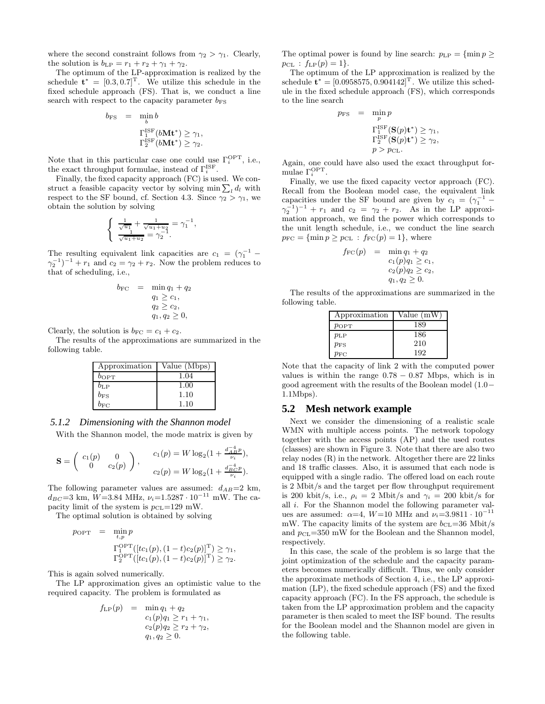where the second constraint follows from  $\gamma_2 > \gamma_1$ . Clearly, the solution is  $b_{\text{LP}} = r_1 + r_2 + \gamma_1 + \gamma_2$ .

The optimum of the LP-approximation is realized by the schedule  $\mathbf{t}^* = [0.3, 0.7]^T$ . We utilize this schedule in the fixed schedule approach (FS). That is, we conduct a line search with respect to the capacity parameter  $b_{FS}$ 

$$
b_{\text{FS}} = \min_{b} b
$$
  

$$
\Gamma_{1}^{\text{1SF}}(b\mathbf{M} \mathbf{t}^*) \ge \gamma_1,
$$
  

$$
\Gamma_{2}^{\text{1SF}}(b\mathbf{M} \mathbf{t}^*) \ge \gamma_2.
$$

Note that in this particular case one could use  $\Gamma_i^{\text{OPT}}$ , i.e., the exact throughput formulae, instead of  $\Gamma_i^{\text{ISF}}$ .

Finally, the fixed capacity approach (FC) is used. We construct a feasible capacity vector by solving  $\min \sum_l d_l$  with Rec respect to the SF bound, cf. Section 4.3. Since  $\gamma_2 > \gamma_1$ , we obtain the solution by solving

$$
\begin{cases} \frac{1}{\sqrt{u_1}} + \frac{1}{\sqrt{u_1 + u_2}} = \gamma_1^{-1}, \\ \frac{1}{\sqrt{u_1 + u_2}} = \gamma_2^{-1}. \end{cases}
$$

The resulting equivalent link capacities are  $c_1 = (\gamma_1^{-1} (\gamma_2^{-1})^{-1} + r_1$  and  $c_2 = \gamma_2 + r_2$ . Now the problem reduces to that of scheduling, i.e.,

$$
b_{\text{FC}} = \min q_1 + q_2 \n q_1 \ge c_1, \n q_2 \ge c_2, \n q_1, q_2 \ge 0,
$$

Clearly, the solution is  $b_{\text{FC}} = c_1 + c_2$ .

The results of the approximations are summarized in the following table.

| Approximation | Value (Mbps) |
|---------------|--------------|
| $b_{\rm OPT}$ | 1.04         |
| $b_{\rm LP}$  | 1.00         |
| $b_{\rm FS}$  | 1.10         |
| $b_{\rm EC}$  | 1.10         |

#### *5.1.2 Dimensioning with the Shannon model*

With the Shannon model, the mode matrix is given by

$$
\mathbf{S} = \begin{pmatrix} c_1(p) & 0 \\ 0 & c_2(p) \end{pmatrix}, \quad \begin{array}{c} c_1(p) = W \log_2(1 + \frac{d_{AB}^{-1} p}{\nu_i}), \\ c_2(p) = W \log_2(1 + \frac{d_{BC}^{-1} p}{\nu_i}). \end{array}
$$

The following parameter values are assumed:  $d_{AB}=2$  km,  $d_{BC} = 3$  km,  $W = 3.84$  MHz,  $\nu_i = 1.5287 \cdot 10^{-11}$  mW. The capacity limit of the system is  $p_{CL}=129$  mW.

The optimal solution is obtained by solving

$$
p_{\text{OPT}} = \min_{t,p} p
$$
  
\n
$$
\Gamma_1^{\text{OPT}}([tc_1(p), (1-t)c_2(p)]^{\text{T}}) \ge \gamma_1,
$$
  
\n
$$
\Gamma_2^{\text{OPT}}([tc_1(p), (1-t)c_2(p)]^{\text{T}}) \ge \gamma_2.
$$

This is again solved numerically.

The LP approximation gives an optimistic value to the required capacity. The problem is formulated as

$$
f_{\text{LP}}(p) = \min_{Q_1} q_1 + q_2
$$
  
\n
$$
c_1(p)q_1 \ge r_1 + \gamma_1,
$$
  
\n
$$
c_2(p)q_2 \ge r_2 + \gamma_2,
$$
  
\n
$$
q_1, q_2 \ge 0.
$$

The optimal power is found by line search:  $p_{\text{LP}} = \{\min p \geq 1\}$  $p_{\text{CL}}$ :  $f_{\text{LP}}(p) = 1$ .

The optimum of the LP approximation is realized by the schedule  $t^* = [0.0958575, 0.904142]^\text{T}$ . We utilize this schedule in the fixed schedule approach (FS), which corresponds to the line search

 $p_{\rm FS}$ 

$$
= \begin{array}{ll} \displaystyle\min_{p}p\\ \displaystyle\Gamma^{\text{ISP}}_1(\mathbf{S}(p)\mathbf{t}^*)\geq \gamma_1,\\ \displaystyle\Gamma^{\text{ISP}}_2(\mathbf{S}(p)\mathbf{t}^*)\geq \gamma_2,\\ \displaystyle\quad p>p_{\text{CL}}. \end{array}
$$

Again, one could have also used the exact throughput formulae  $\Gamma_i^{\text{OPT}}$ .

Finally, we use the fixed capacity vector approach (FC). Recall from the Boolean model case, the equivalent link capacities under the SF bound are given by  $c_1 = (\gamma_1^{-1} (\gamma_2^{-1})^{-1} + r_1$  and  $c_2 = \gamma_2 + r_2$ . As in the LP approximation approach, we find the power which corresponds to the unit length schedule, i.e., we conduct the line search  $p_{\text{FC}} = \{\min p \geq p_{\text{CL}} : f_{\text{FC}}(p) = 1\},\$  where

$$
f_{\text{FC}}(p) = \min_{Q_1} q_1 + q_2
$$
  
\n
$$
c_1(p)q_1 \ge c_1,
$$
  
\n
$$
c_2(p)q_2 \ge c_2,
$$
  
\n
$$
q_1, q_2 \ge 0.
$$

The results of the approximations are summarized in the following table.

| Approximation | Value (mW) |
|---------------|------------|
| $p_{\rm OPT}$ | 189        |
| $p_{\rm LP}$  | 186        |
| $p_{\rm FS}$  | 210        |
| $p_{\rm FC}$  | 192        |

Note that the capacity of link 2 with the computed power values is within the range  $0.78 - 0.87$  Mbps, which is in good agreement with the results of the Boolean model (1.0− 1.1Mbps).

### **5.2 Mesh network example**

Next we consider the dimensioning of a realistic scale WMN with multiple access points. The network topology together with the access points (AP) and the used routes (classes) are shown in Figure 3. Note that there are also two relay nodes (R) in the network. Altogether there are 22 links and 18 traffic classes. Also, it is assumed that each node is equipped with a single radio. The offered load on each route is 2 Mbit/s and the target per flow throughput requirement is 200 kbit/s, i.e.,  $\rho_i = 2$  Mbit/s and  $\gamma_i = 200$  kbit/s for all i. For the Shannon model the following parameter values are assumed:  $\alpha=4$ ,  $W=10$  MHz and  $\nu_i=3.9811\cdot 10^{-11}$ mW. The capacity limits of the system are  $b_{\text{CL}}=36$  Mbit/s and  $p_{\text{CL}}=350$  mW for the Boolean and the Shannon model, respectively.

In this case, the scale of the problem is so large that the joint optimization of the schedule and the capacity parameters becomes numerically difficult. Thus, we only consider the approximate methods of Section 4, i.e., the LP approximation (LP), the fixed schedule approach (FS) and the fixed capacity approach (FC). In the FS approach, the schedule is taken from the LP approximation problem and the capacity parameter is then scaled to meet the ISF bound. The results for the Boolean model and the Shannon model are given in the following table.